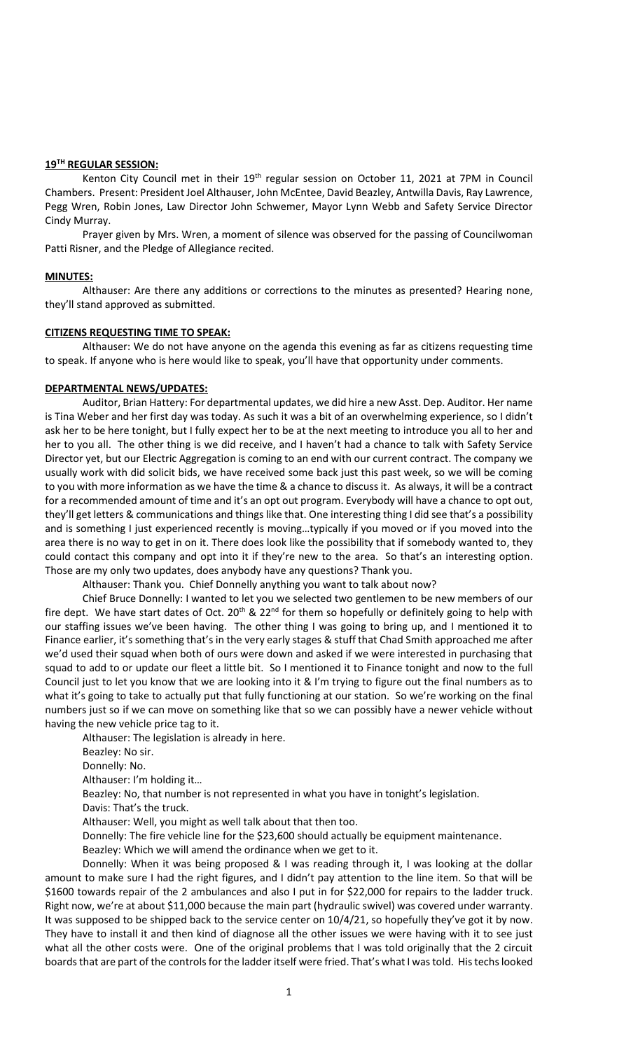## **19TH REGULAR SESSION:**

Kenton City Council met in their 19<sup>th</sup> regular session on October 11, 2021 at 7PM in Council Chambers. Present: President Joel Althauser, John McEntee, David Beazley, Antwilla Davis, Ray Lawrence, Pegg Wren, Robin Jones, Law Director John Schwemer, Mayor Lynn Webb and Safety Service Director Cindy Murray.

Prayer given by Mrs. Wren, a moment of silence was observed for the passing of Councilwoman Patti Risner, and the Pledge of Allegiance recited.

#### **MINUTES:**

Althauser: Are there any additions or corrections to the minutes as presented? Hearing none, they'll stand approved as submitted.

## **CITIZENS REQUESTING TIME TO SPEAK:**

Althauser: We do not have anyone on the agenda this evening as far as citizens requesting time to speak. If anyone who is here would like to speak, you'll have that opportunity under comments.

#### **DEPARTMENTAL NEWS/UPDATES:**

Auditor, Brian Hattery: For departmental updates, we did hire a new Asst. Dep. Auditor. Her name is Tina Weber and her first day was today. As such it was a bit of an overwhelming experience, so I didn't ask her to be here tonight, but I fully expect her to be at the next meeting to introduce you all to her and her to you all. The other thing is we did receive, and I haven't had a chance to talk with Safety Service Director yet, but our Electric Aggregation is coming to an end with our current contract. The company we usually work with did solicit bids, we have received some back just this past week, so we will be coming to you with more information as we have the time & a chance to discuss it. As always, it will be a contract for a recommended amount of time and it's an opt out program. Everybody will have a chance to opt out, they'll get letters & communications and things like that. One interesting thing I did see that's a possibility and is something I just experienced recently is moving…typically if you moved or if you moved into the area there is no way to get in on it. There does look like the possibility that if somebody wanted to, they could contact this company and opt into it if they're new to the area. So that's an interesting option. Those are my only two updates, does anybody have any questions? Thank you.

Althauser: Thank you. Chief Donnelly anything you want to talk about now?

Chief Bruce Donnelly: I wanted to let you we selected two gentlemen to be new members of our fire dept. We have start dates of Oct. 20<sup>th</sup> & 22<sup>nd</sup> for them so hopefully or definitely going to help with our staffing issues we've been having. The other thing I was going to bring up, and I mentioned it to Finance earlier, it's something that's in the very early stages & stuff that Chad Smith approached me after we'd used their squad when both of ours were down and asked if we were interested in purchasing that squad to add to or update our fleet a little bit. So I mentioned it to Finance tonight and now to the full Council just to let you know that we are looking into it & I'm trying to figure out the final numbers as to what it's going to take to actually put that fully functioning at our station. So we're working on the final numbers just so if we can move on something like that so we can possibly have a newer vehicle without having the new vehicle price tag to it.

Althauser: The legislation is already in here.

Beazley: No sir.

Donnelly: No.

Althauser: I'm holding it…

Beazley: No, that number is not represented in what you have in tonight's legislation.

Davis: That's the truck.

Althauser: Well, you might as well talk about that then too.

Donnelly: The fire vehicle line for the \$23,600 should actually be equipment maintenance.

Beazley: Which we will amend the ordinance when we get to it.

Donnelly: When it was being proposed & I was reading through it, I was looking at the dollar amount to make sure I had the right figures, and I didn't pay attention to the line item. So that will be \$1600 towards repair of the 2 ambulances and also I put in for \$22,000 for repairs to the ladder truck. Right now, we're at about \$11,000 because the main part (hydraulic swivel) was covered under warranty. It was supposed to be shipped back to the service center on 10/4/21, so hopefully they've got it by now. They have to install it and then kind of diagnose all the other issues we were having with it to see just what all the other costs were. One of the original problems that I was told originally that the 2 circuit boards that are part of the controls for the ladder itself were fried. That's what I was told. His techs looked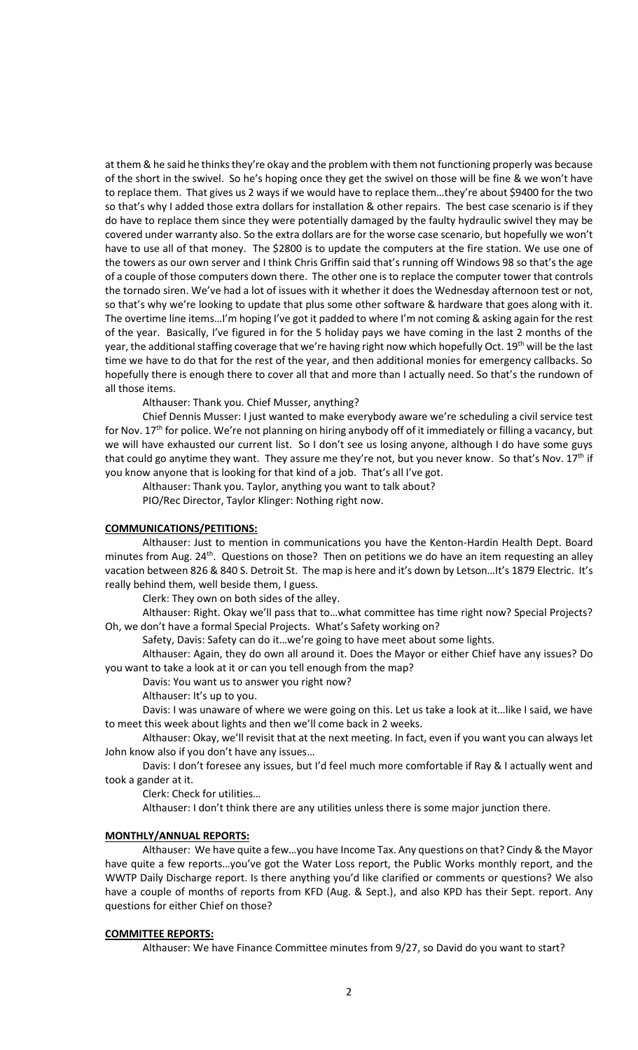at them & he said he thinks they're okay and the problem with them not functioning properly was because of the short in the swivel. So he's hoping once they get the swivel on those will be fine & we won't have to replace them. That gives us 2 ways if we would have to replace them…they're about \$9400 for the two so that's why I added those extra dollars for installation & other repairs. The best case scenario is if they do have to replace them since they were potentially damaged by the faulty hydraulic swivel they may be covered under warranty also. So the extra dollars are for the worse case scenario, but hopefully we won't have to use all of that money. The \$2800 is to update the computers at the fire station. We use one of the towers as our own server and I think Chris Griffin said that's running off Windows 98 so that's the age of a couple of those computers down there. The other one is to replace the computer tower that controls the tornado siren. We've had a lot of issues with it whether it does the Wednesday afternoon test or not, so that's why we're looking to update that plus some other software & hardware that goes along with it. The overtime line items…I'm hoping I've got it padded to where I'm not coming & asking again for the rest of the year. Basically, I've figured in for the 5 holiday pays we have coming in the last 2 months of the year, the additional staffing coverage that we're having right now which hopefully Oct. 19<sup>th</sup> will be the last time we have to do that for the rest of the year, and then additional monies for emergency callbacks. So hopefully there is enough there to cover all that and more than I actually need. So that's the rundown of all those items.

Althauser: Thank you. Chief Musser, anything?

Chief Dennis Musser: I just wanted to make everybody aware we're scheduling a civil service test for Nov.  $17<sup>th</sup>$  for police. We're not planning on hiring anybody off of it immediately or filling a vacancy, but we will have exhausted our current list. So I don't see us losing anyone, although I do have some guys that could go anytime they want. They assure me they're not, but you never know. So that's Nov.  $17<sup>th</sup>$  if you know anyone that is looking for that kind of a job. That's all I've got.

Althauser: Thank you. Taylor, anything you want to talk about?

PIO/Rec Director, Taylor Klinger: Nothing right now.

# **COMMUNICATIONS/PETITIONS:**

Althauser: Just to mention in communications you have the Kenton-Hardin Health Dept. Board minutes from Aug. 24<sup>th</sup>. Questions on those? Then on petitions we do have an item requesting an alley vacation between 826 & 840 S. Detroit St. The map is here and it's down by Letson…It's 1879 Electric. It's really behind them, well beside them, I guess.

Clerk: They own on both sides of the alley.

Althauser: Right. Okay we'll pass that to…what committee has time right now? Special Projects? Oh, we don't have a formal Special Projects. What's Safety working on?

Safety, Davis: Safety can do it…we're going to have meet about some lights.

Althauser: Again, they do own all around it. Does the Mayor or either Chief have any issues? Do you want to take a look at it or can you tell enough from the map?

Davis: You want us to answer you right now?

Althauser: It's up to you.

Davis: I was unaware of where we were going on this. Let us take a look at it…like I said, we have to meet this week about lights and then we'll come back in 2 weeks.

Althauser: Okay, we'll revisit that at the next meeting. In fact, even if you want you can always let John know also if you don't have any issues…

Davis: I don't foresee any issues, but I'd feel much more comfortable if Ray & I actually went and took a gander at it.

Clerk: Check for utilities…

Althauser: I don't think there are any utilities unless there is some major junction there.

#### **MONTHLY/ANNUAL REPORTS:**

Althauser: We have quite a few…you have Income Tax. Any questions on that? Cindy & the Mayor have quite a few reports...you've got the Water Loss report, the Public Works monthly report, and the WWTP Daily Discharge report. Is there anything you'd like clarified or comments or questions? We also have a couple of months of reports from KFD (Aug. & Sept.), and also KPD has their Sept. report. Any questions for either Chief on those?

## **COMMITTEE REPORTS:**

Althauser: We have Finance Committee minutes from 9/27, so David do you want to start?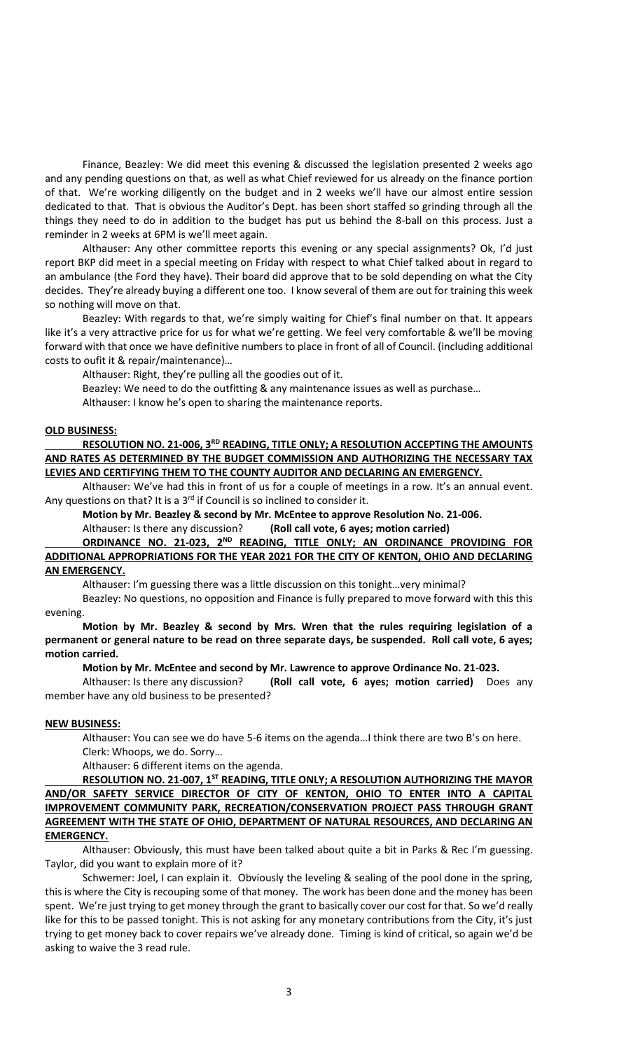Finance, Beazley: We did meet this evening & discussed the legislation presented 2 weeks ago and any pending questions on that, as well as what Chief reviewed for us already on the finance portion of that. We're working diligently on the budget and in 2 weeks we'll have our almost entire session dedicated to that. That is obvious the Auditor's Dept. has been short staffed so grinding through all the things they need to do in addition to the budget has put us behind the 8-ball on this process. Just a reminder in 2 weeks at 6PM is we'll meet again.

Althauser: Any other committee reports this evening or any special assignments? Ok, I'd just report BKP did meet in a special meeting on Friday with respect to what Chief talked about in regard to an ambulance (the Ford they have). Their board did approve that to be sold depending on what the City decides. They're already buying a different one too. I know several of them are out for training this week so nothing will move on that.

Beazley: With regards to that, we're simply waiting for Chief's final number on that. It appears like it's a very attractive price for us for what we're getting. We feel very comfortable & we'll be moving forward with that once we have definitive numbers to place in front of all of Council. (including additional costs to oufit it & repair/maintenance)…

Althauser: Right, they're pulling all the goodies out of it.

Beazley: We need to do the outfitting & any maintenance issues as well as purchase…

Althauser: I know he's open to sharing the maintenance reports.

## **OLD BUSINESS:**

**RESOLUTION NO. 21-006, 3RD READING, TITLE ONLY; A RESOLUTION ACCEPTING THE AMOUNTS AND RATES AS DETERMINED BY THE BUDGET COMMISSION AND AUTHORIZING THE NECESSARY TAX LEVIES AND CERTIFYING THEM TO THE COUNTY AUDITOR AND DECLARING AN EMERGENCY.**

Althauser: We've had this in front of us for a couple of meetings in a row. It's an annual event. Any questions on that? It is a  $3<sup>rd</sup>$  if Council is so inclined to consider it.

# **Motion by Mr. Beazley & second by Mr. McEntee to approve Resolution No. 21-006.**

Althauser: Is there any discussion? **(Roll call vote, 6 ayes; motion carried)**

# **ORDINANCE NO. 21-023, 2ND READING, TITLE ONLY; AN ORDINANCE PROVIDING FOR ADDITIONAL APPROPRIATIONS FOR THE YEAR 2021 FOR THE CITY OF KENTON, OHIO AND DECLARING AN EMERGENCY.**

Althauser: I'm guessing there was a little discussion on this tonight…very minimal?

Beazley: No questions, no opposition and Finance is fully prepared to move forward with this this evening.

**Motion by Mr. Beazley & second by Mrs. Wren that the rules requiring legislation of a permanent or general nature to be read on three separate days, be suspended. Roll call vote, 6 ayes; motion carried.**

# **Motion by Mr. McEntee and second by Mr. Lawrence to approve Ordinance No. 21-023.**

Althauser: Is there any discussion? **(Roll call vote, 6 ayes; motion carried)** Does any member have any old business to be presented?

#### **NEW BUSINESS:**

Althauser: You can see we do have 5-6 items on the agenda…I think there are two B's on here. Clerk: Whoops, we do. Sorry…

Althauser: 6 different items on the agenda.

**RESOLUTION NO. 21-007, 1ST READING, TITLE ONLY; A RESOLUTION AUTHORIZING THE MAYOR AND/OR SAFETY SERVICE DIRECTOR OF CITY OF KENTON, OHIO TO ENTER INTO A CAPITAL IMPROVEMENT COMMUNITY PARK, RECREATION/CONSERVATION PROJECT PASS THROUGH GRANT AGREEMENT WITH THE STATE OF OHIO, DEPARTMENT OF NATURAL RESOURCES, AND DECLARING AN EMERGENCY.**

Althauser: Obviously, this must have been talked about quite a bit in Parks & Rec I'm guessing. Taylor, did you want to explain more of it?

Schwemer: Joel, I can explain it. Obviously the leveling & sealing of the pool done in the spring, this is where the City is recouping some of that money. The work has been done and the money has been spent. We're just trying to get money through the grant to basically cover our cost for that. So we'd really like for this to be passed tonight. This is not asking for any monetary contributions from the City, it's just trying to get money back to cover repairs we've already done. Timing is kind of critical, so again we'd be asking to waive the 3 read rule.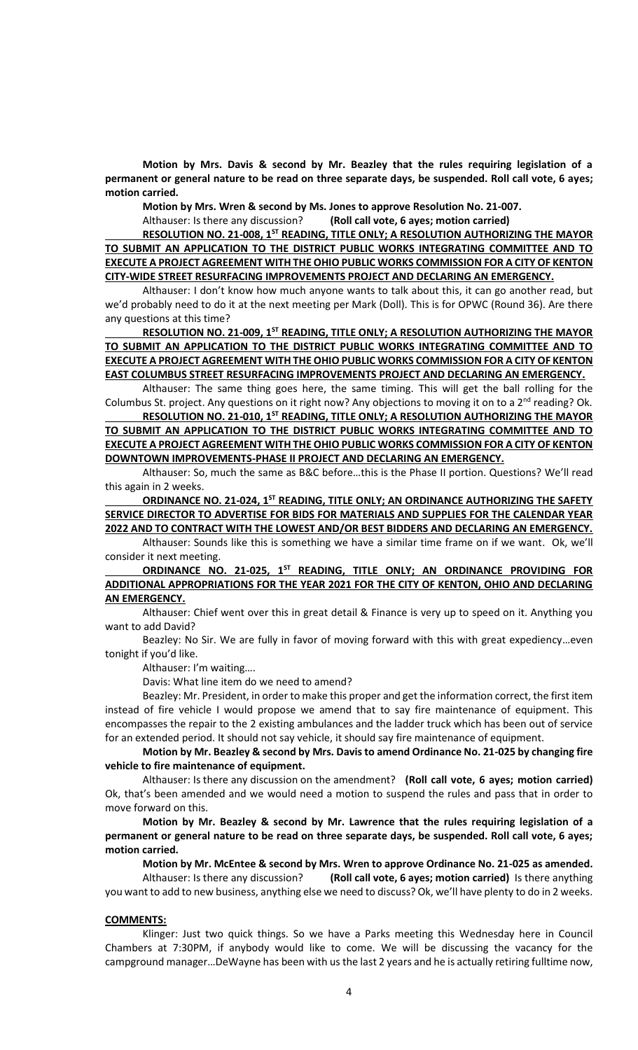**Motion by Mrs. Davis & second by Mr. Beazley that the rules requiring legislation of a permanent or general nature to be read on three separate days, be suspended. Roll call vote, 6 ayes; motion carried.** 

**Motion by Mrs. Wren & second by Ms. Jones to approve Resolution No. 21-007.**

Althauser: Is there any discussion? **(Roll call vote, 6 ayes; motion carried)**

**RESOLUTION NO. 21-008, 1ST READING, TITLE ONLY; A RESOLUTION AUTHORIZING THE MAYOR TO SUBMIT AN APPLICATION TO THE DISTRICT PUBLIC WORKS INTEGRATING COMMITTEE AND TO EXECUTE A PROJECT AGREEMENT WITH THE OHIO PUBLIC WORKS COMMISSION FOR A CITY OF KENTON CITY-WIDE STREET RESURFACING IMPROVEMENTS PROJECT AND DECLARING AN EMERGENCY.**

Althauser: I don't know how much anyone wants to talk about this, it can go another read, but we'd probably need to do it at the next meeting per Mark (Doll). This is for OPWC (Round 36). Are there any questions at this time?

**RESOLUTION NO. 21-009, 1ST READING, TITLE ONLY; A RESOLUTION AUTHORIZING THE MAYOR TO SUBMIT AN APPLICATION TO THE DISTRICT PUBLIC WORKS INTEGRATING COMMITTEE AND TO EXECUTE A PROJECT AGREEMENT WITH THE OHIO PUBLIC WORKS COMMISSION FOR A CITY OF KENTON EAST COLUMBUS STREET RESURFACING IMPROVEMENTS PROJECT AND DECLARING AN EMERGENCY.**

Althauser: The same thing goes here, the same timing. This will get the ball rolling for the Columbus St. project. Any questions on it right now? Any objections to moving it on to a  $2^{nd}$  reading? Ok.

**RESOLUTION NO. 21-010, 1ST READING, TITLE ONLY; A RESOLUTION AUTHORIZING THE MAYOR TO SUBMIT AN APPLICATION TO THE DISTRICT PUBLIC WORKS INTEGRATING COMMITTEE AND TO EXECUTE A PROJECT AGREEMENT WITH THE OHIO PUBLIC WORKS COMMISSION FOR A CITY OF KENTON DOWNTOWN IMPROVEMENTS-PHASE II PROJECT AND DECLARING AN EMERGENCY.**

Althauser: So, much the same as B&C before…this is the Phase II portion. Questions? We'll read this again in 2 weeks.

**ORDINANCE NO. 21-024, 1ST READING, TITLE ONLY; AN ORDINANCE AUTHORIZING THE SAFETY SERVICE DIRECTOR TO ADVERTISE FOR BIDS FOR MATERIALS AND SUPPLIES FOR THE CALENDAR YEAR 2022 AND TO CONTRACT WITH THE LOWEST AND/OR BEST BIDDERS AND DECLARING AN EMERGENCY.**

Althauser: Sounds like this is something we have a similar time frame on if we want. Ok, we'll consider it next meeting.

ORDINANCE NO. 21-025, 1<sup>ST</sup> READING, TITLE ONLY; AN ORDINANCE PROVIDING FOR **ADDITIONAL APPROPRIATIONS FOR THE YEAR 2021 FOR THE CITY OF KENTON, OHIO AND DECLARING AN EMERGENCY.**

Althauser: Chief went over this in great detail & Finance is very up to speed on it. Anything you want to add David?

Beazley: No Sir. We are fully in favor of moving forward with this with great expediency…even tonight if you'd like.

Althauser: I'm waiting….

Davis: What line item do we need to amend?

Beazley: Mr. President, in order to make this proper and get the information correct, the first item instead of fire vehicle I would propose we amend that to say fire maintenance of equipment. This encompasses the repair to the 2 existing ambulances and the ladder truck which has been out of service for an extended period. It should not say vehicle, it should say fire maintenance of equipment.

**Motion by Mr. Beazley & second by Mrs. Davis to amend Ordinance No. 21-025 by changing fire vehicle to fire maintenance of equipment.** 

Althauser: Is there any discussion on the amendment? **(Roll call vote, 6 ayes; motion carried)** Ok, that's been amended and we would need a motion to suspend the rules and pass that in order to move forward on this.

**Motion by Mr. Beazley & second by Mr. Lawrence that the rules requiring legislation of a permanent or general nature to be read on three separate days, be suspended. Roll call vote, 6 ayes; motion carried.**

**Motion by Mr. McEntee & second by Mrs. Wren to approve Ordinance No. 21-025 as amended.**

Althauser: Is there any discussion? **(Roll call vote, 6 ayes; motion carried)** Is there anything you want to add to new business, anything else we need to discuss? Ok, we'll have plenty to do in 2 weeks.

#### **COMMENTS:**

Klinger: Just two quick things. So we have a Parks meeting this Wednesday here in Council Chambers at 7:30PM, if anybody would like to come. We will be discussing the vacancy for the campground manager…DeWayne has been with us the last 2 years and he is actually retiring fulltime now,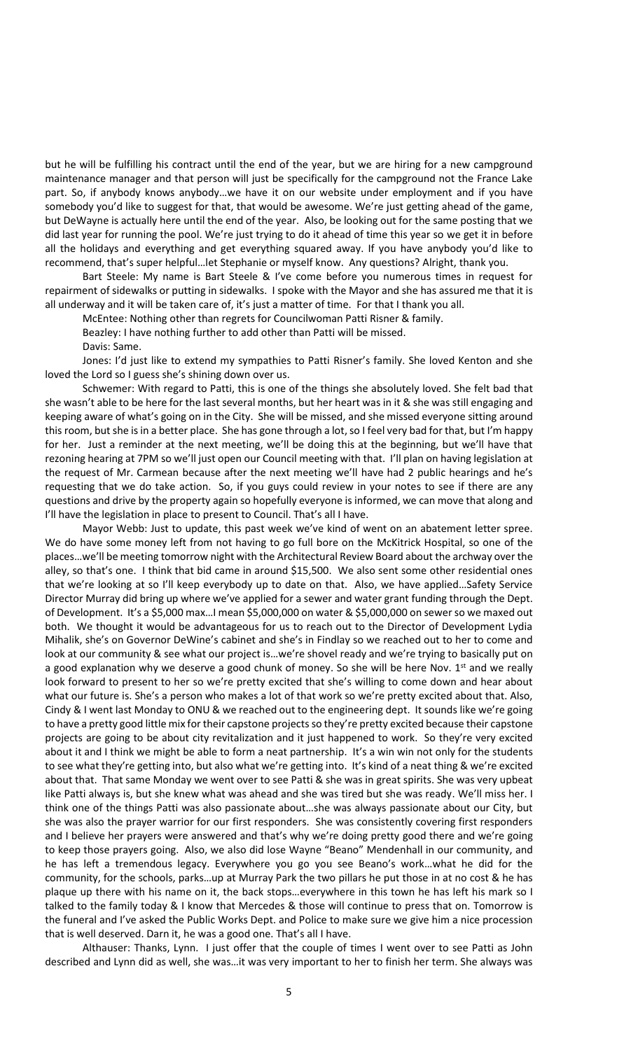but he will be fulfilling his contract until the end of the year, but we are hiring for a new campground maintenance manager and that person will just be specifically for the campground not the France Lake part. So, if anybody knows anybody…we have it on our website under employment and if you have somebody you'd like to suggest for that, that would be awesome. We're just getting ahead of the game, but DeWayne is actually here until the end of the year. Also, be looking out for the same posting that we did last year for running the pool. We're just trying to do it ahead of time this year so we get it in before all the holidays and everything and get everything squared away. If you have anybody you'd like to recommend, that's super helpful…let Stephanie or myself know. Any questions? Alright, thank you.

Bart Steele: My name is Bart Steele & I've come before you numerous times in request for repairment of sidewalks or putting in sidewalks. I spoke with the Mayor and she has assured me that it is all underway and it will be taken care of, it's just a matter of time. For that I thank you all.

McEntee: Nothing other than regrets for Councilwoman Patti Risner & family.

Beazley: I have nothing further to add other than Patti will be missed.

Davis: Same.

Jones: I'd just like to extend my sympathies to Patti Risner's family. She loved Kenton and she loved the Lord so I guess she's shining down over us.

Schwemer: With regard to Patti, this is one of the things she absolutely loved. She felt bad that she wasn't able to be here for the last several months, but her heart was in it & she was still engaging and keeping aware of what's going on in the City. She will be missed, and she missed everyone sitting around this room, but she is in a better place. She has gone through a lot, so I feel very bad for that, but I'm happy for her. Just a reminder at the next meeting, we'll be doing this at the beginning, but we'll have that rezoning hearing at 7PM so we'll just open our Council meeting with that. I'll plan on having legislation at the request of Mr. Carmean because after the next meeting we'll have had 2 public hearings and he's requesting that we do take action. So, if you guys could review in your notes to see if there are any questions and drive by the property again so hopefully everyone is informed, we can move that along and I'll have the legislation in place to present to Council. That's all I have.

Mayor Webb: Just to update, this past week we've kind of went on an abatement letter spree. We do have some money left from not having to go full bore on the McKitrick Hospital, so one of the places…we'll be meeting tomorrow night with the Architectural Review Board about the archway over the alley, so that's one. I think that bid came in around \$15,500. We also sent some other residential ones that we're looking at so I'll keep everybody up to date on that. Also, we have applied…Safety Service Director Murray did bring up where we've applied for a sewer and water grant funding through the Dept. of Development. It's a \$5,000 max…I mean \$5,000,000 on water & \$5,000,000 on sewer so we maxed out both. We thought it would be advantageous for us to reach out to the Director of Development Lydia Mihalik, she's on Governor DeWine's cabinet and she's in Findlay so we reached out to her to come and look at our community & see what our project is…we're shovel ready and we're trying to basically put on a good explanation why we deserve a good chunk of money. So she will be here Nov. 1<sup>st</sup> and we really look forward to present to her so we're pretty excited that she's willing to come down and hear about what our future is. She's a person who makes a lot of that work so we're pretty excited about that. Also, Cindy & I went last Monday to ONU & we reached out to the engineering dept. It sounds like we're going to have a pretty good little mix for their capstone projects so they're pretty excited because their capstone projects are going to be about city revitalization and it just happened to work. So they're very excited about it and I think we might be able to form a neat partnership. It's a win win not only for the students to see what they're getting into, but also what we're getting into. It's kind of a neat thing & we're excited about that. That same Monday we went over to see Patti & she was in great spirits. She was very upbeat like Patti always is, but she knew what was ahead and she was tired but she was ready. We'll miss her. I think one of the things Patti was also passionate about…she was always passionate about our City, but she was also the prayer warrior for our first responders. She was consistently covering first responders and I believe her prayers were answered and that's why we're doing pretty good there and we're going to keep those prayers going. Also, we also did lose Wayne "Beano" Mendenhall in our community, and he has left a tremendous legacy. Everywhere you go you see Beano's work…what he did for the community, for the schools, parks…up at Murray Park the two pillars he put those in at no cost & he has plaque up there with his name on it, the back stops…everywhere in this town he has left his mark so I talked to the family today & I know that Mercedes & those will continue to press that on. Tomorrow is the funeral and I've asked the Public Works Dept. and Police to make sure we give him a nice procession that is well deserved. Darn it, he was a good one. That's all I have.

Althauser: Thanks, Lynn. I just offer that the couple of times I went over to see Patti as John described and Lynn did as well, she was…it was very important to her to finish her term. She always was